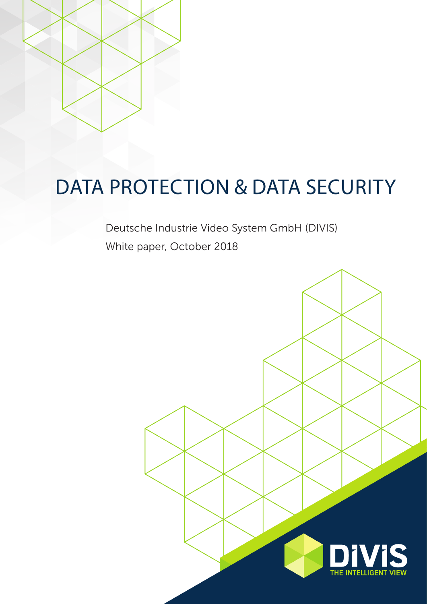

# DATA PROTECTION & DATA SECURITY

Deutsche Industrie Video System GmbH (DIVIS) White paper, October 2018

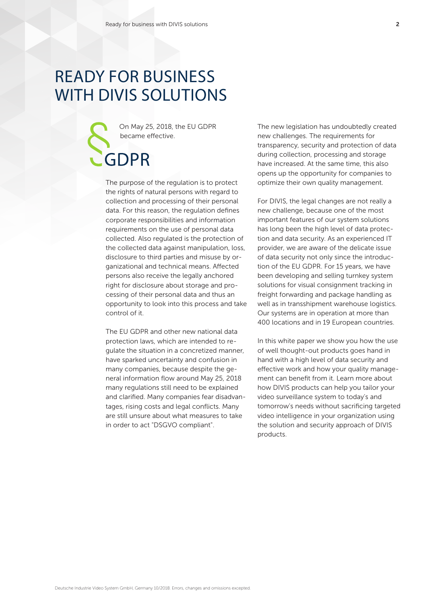## READY FOR BUSINESS WITH DIVIS SOLUTIONS

GDPR

On May 25, 2018, the EU GDPR became effective.

The purpose of the regulation is to protect the rights of natural persons with regard to collection and processing of their personal data. For this reason, the regulation defines corporate responsibilities and information requirements on the use of personal data collected. Also regulated is the protection of the collected data against manipulation, loss, disclosure to third parties and misuse by organizational and technical means. Affected persons also receive the legally anchored right for disclosure about storage and processing of their personal data and thus an opportunity to look into this process and take control of it.

The EU GDPR and other new national data protection laws, which are intended to regulate the situation in a concretized manner, have sparked uncertainty and confusion in many companies, because despite the general information flow around May 25, 2018 many regulations still need to be explained and clarified. Many companies fear disadvantages, rising costs and legal conflicts. Many are still unsure about what measures to take in order to act "DSGVO compliant".

The new legislation has undoubtedly created new challenges. The requirements for transparency, security and protection of data during collection, processing and storage have increased. At the same time, this also opens up the opportunity for companies to optimize their own quality management.

For DIVIS, the legal changes are not really a new challenge, because one of the most important features of our system solutions has long been the high level of data protection and data security. As an experienced IT provider, we are aware of the delicate issue of data security not only since the introduction of the EU GDPR. For 15 years, we have been developing and selling turnkey system solutions for visual consignment tracking in freight forwarding and package handling as well as in transshipment warehouse logistics. Our systems are in operation at more than 400 locations and in 19 European countries.

In this white paper we show you how the use of well thought-out products goes hand in hand with a high level of data security and effective work and how your quality management can benefit from it. Learn more about how DIVIS products can help you tailor your video surveillance system to today's and tomorrow's needs without sacrificing targeted video intelligence in your organization using the solution and security approach of DIVIS products.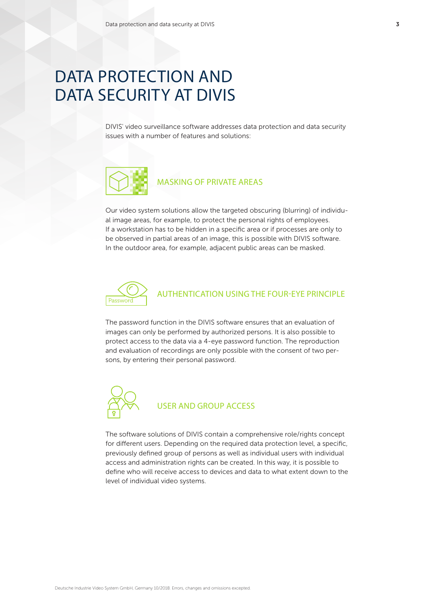## DATA PROTECTION AND DATA SECURITY AT DIVIS

DIVIS' video surveillance software addresses data protection and data security issues with a number of features and solutions:



### MASKING OF PRIVATE AREAS

Our video system solutions allow the targeted obscuring (blurring) of individual image areas, for example, to protect the personal rights of employees. If a workstation has to be hidden in a specific area or if processes are only to be observed in partial areas of an image, this is possible with DIVIS software. In the outdoor area, for example, adjacent public areas can be masked.



### AUTHENTICATION USING THE FOUR-EYE PRINCIPLE

The password function in the DIVIS software ensures that an evaluation of images can only be performed by authorized persons. It is also possible to protect access to the data via a 4-eye password function. The reproduction and evaluation of recordings are only possible with the consent of two persons, by entering their personal password.



### USER AND GROUP ACCESS

The software solutions of DIVIS contain a comprehensive role/rights concept for different users. Depending on the required data protection level, a specific, previously defined group of persons as well as individual users with individual access and administration rights can be created. In this way, it is possible to define who will receive access to devices and data to what extent down to the level of individual video systems.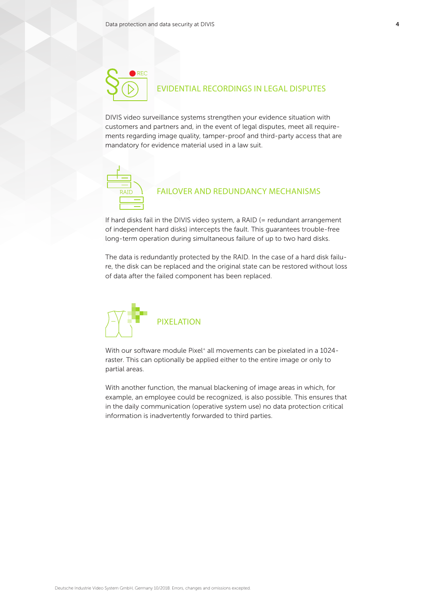

DIVIS video surveillance systems strengthen your evidence situation with customers and partners and, in the event of legal disputes, meet all requirements regarding image quality, tamper-proof and third-party access that are mandatory for evidence material used in a law suit.



### FAILOVER AND REDUNDANCY MECHANISMS

If hard disks fail in the DIVIS video system, a RAID (= redundant arrangement of independent hard disks) intercepts the fault. This guarantees trouble-free long-term operation during simultaneous failure of up to two hard disks.

The data is redundantly protected by the RAID. In the case of a hard disk failure, the disk can be replaced and the original state can be restored without loss of data after the failed component has been replaced.



With our software module Pixel<sup>+</sup> all movements can be pixelated in a 1024raster. This can optionally be applied either to the entire image or only to partial areas.

With another function, the manual blackening of image areas in which, for example, an employee could be recognized, is also possible. This ensures that in the daily communication (operative system use) no data protection critical information is inadvertently forwarded to third parties.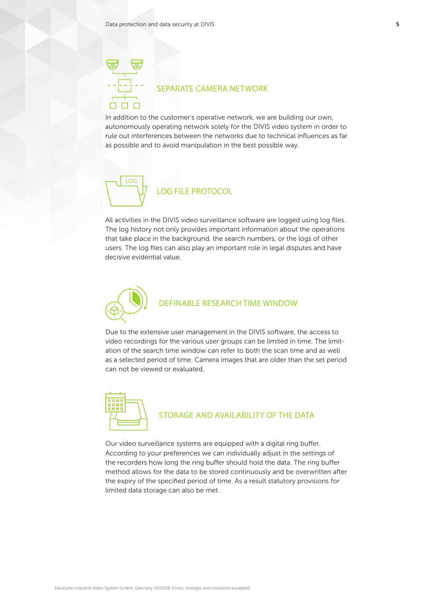### SEPARATE CAMERA NETWORK

In addition to the customer's operative network, we are building our own, autonomously operating network solely for the DIVIS video system in order to rule out interferences between the networks due to technical influences as far as possible and to avoid manipulation in the best possible way.



All activities in the DIVIS video surveillance software are logged using log files. The log history not only provides important information about the operations that take place in the background, the search numbers, or the logs of other users. The log files can also play an important role in legal disputes and have decisive evidential value.



Due to the extensive user management in the DIVIS software, the access to video recordings for the various user groups can be limited in time. The limitation of the search time window can refer to both the scan time and as well as a selected period of time. Camera images that are older than the set period can not be viewed or evaluated.



# **SHOPE THE STORAGE AND AVAILABILITY OF THE DATA**

Our video surveillance systems are equipped with a digital ring buffer. According to your preferences we can individually adjust in the settings of the recorders how long the ring buffer should hold the data. The ring buffer method allows for the data to be stored continuously and be overwritten after the expiry of the specified period of time. As a result statutory provisions for limited data storage can also be met.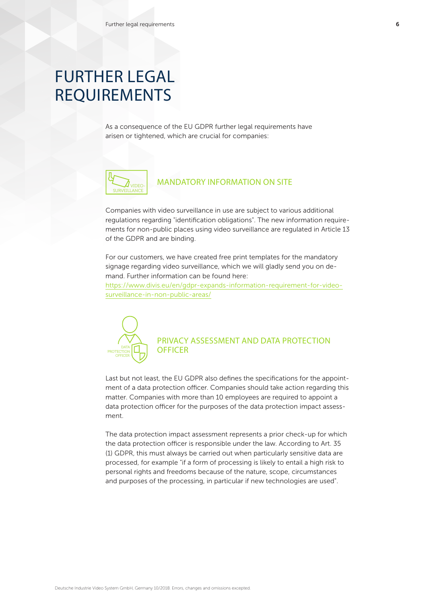## FURTHER LEGAL REQUIREMENTS

As a consequence of the EU GDPR further legal requirements have arisen or tightened, which are crucial for companies:



### MANDATORY INFORMATION ON SITE

Companies with video surveillance in use are subject to various additional regulations regarding "identification obligations". The new information requirements for non-public places using video surveillance are regulated in Article 13 of the GDPR and are binding.

For our customers, we have created free print templates for the mandatory signage regarding video surveillance, which we will gladly send you on demand. Further information can be found here:

https://www.divis.eu/en/gdpr-expands-information-requirement-for-videosurveillance-in-non-public-areas/



## PRIVACY ASSESSMENT AND DATA PROTECTION

Last but not least, the EU GDPR also defines the specifications for the appointment of a data protection officer. Companies should take action regarding this matter. Companies with more than 10 employees are required to appoint a data protection officer for the purposes of the data protection impact assessment.

The data protection impact assessment represents a prior check-up for which the data protection officer is responsible under the law. According to Art. 35 (1) GDPR, this must always be carried out when particularly sensitive data are processed, for example "if a form of processing is likely to entail a high risk to personal rights and freedoms because of the nature, scope, circumstances and purposes of the processing, in particular if new technologies are used".